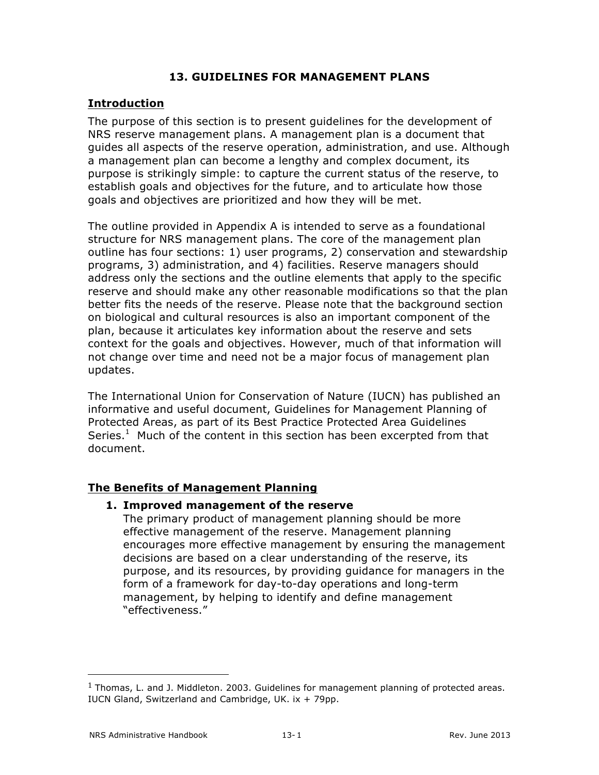## **13. GUIDELINES FOR MANAGEMENT PLANS**

## **Introduction**

The purpose of this section is to present guidelines for the development of NRS reserve management plans. A management plan is a document that guides all aspects of the reserve operation, administration, and use. Although a management plan can become a lengthy and complex document, its purpose is strikingly simple: to capture the current status of the reserve, to establish goals and objectives for the future, and to articulate how those goals and objectives are prioritized and how they will be met.

The outline provided in Appendix A is intended to serve as a foundational structure for NRS management plans. The core of the management plan outline has four sections: 1) user programs, 2) conservation and stewardship programs, 3) administration, and 4) facilities. Reserve managers should address only the sections and the outline elements that apply to the specific reserve and should make any other reasonable modifications so that the plan better fits the needs of the reserve. Please note that the background section on biological and cultural resources is also an important component of the plan, because it articulates key information about the reserve and sets context for the goals and objectives. However, much of that information will not change over time and need not be a major focus of management plan updates.

The International Union for Conservation of Nature (IUCN) has published an informative and useful document, Guidelines for Management Planning of Protected Areas, as part of its Best Practice Protected Area Guidelines Series. $1$  Much of the content in this section has been excerpted from that document.

## **The Benefits of Management Planning**

## **1. Improved management of the reserve**

The primary product of management planning should be more effective management of the reserve. Management planning encourages more effective management by ensuring the management decisions are based on a clear understanding of the reserve, its purpose, and its resources, by providing guidance for managers in the form of a framework for day-to-day operations and long-term management, by helping to identify and define management "effectiveness."

 

 $1$  Thomas, L. and J. Middleton. 2003. Guidelines for management planning of protected areas. IUCN Gland, Switzerland and Cambridge, UK. ix + 79pp.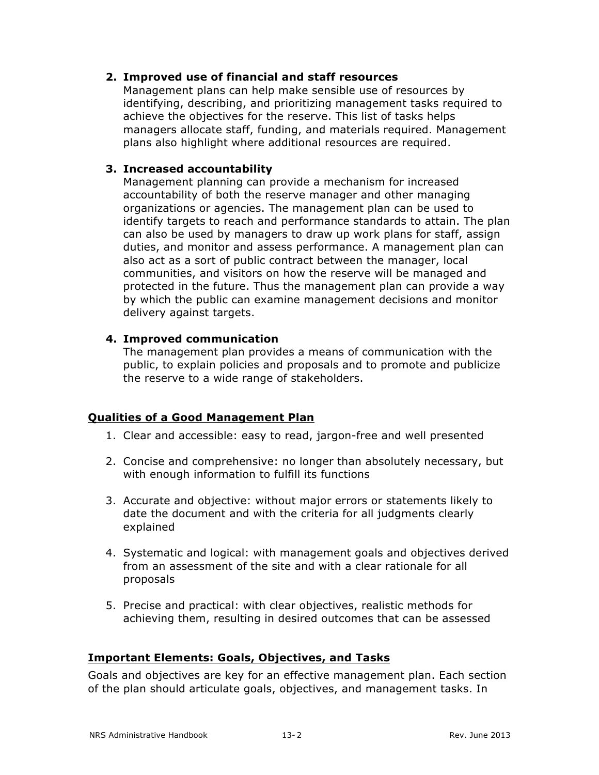### **2. Improved use of financial and staff resources**

Management plans can help make sensible use of resources by identifying, describing, and prioritizing management tasks required to achieve the objectives for the reserve. This list of tasks helps managers allocate staff, funding, and materials required. Management plans also highlight where additional resources are required.

### **3. Increased accountability**

Management planning can provide a mechanism for increased accountability of both the reserve manager and other managing organizations or agencies. The management plan can be used to identify targets to reach and performance standards to attain. The plan can also be used by managers to draw up work plans for staff, assign duties, and monitor and assess performance. A management plan can also act as a sort of public contract between the manager, local communities, and visitors on how the reserve will be managed and protected in the future. Thus the management plan can provide a way by which the public can examine management decisions and monitor delivery against targets.

#### **4. Improved communication**

The management plan provides a means of communication with the public, to explain policies and proposals and to promote and publicize the reserve to a wide range of stakeholders.

## **Qualities of a Good Management Plan**

- 1. Clear and accessible: easy to read, jargon-free and well presented
- 2. Concise and comprehensive: no longer than absolutely necessary, but with enough information to fulfill its functions
- 3. Accurate and objective: without major errors or statements likely to date the document and with the criteria for all judgments clearly explained
- 4. Systematic and logical: with management goals and objectives derived from an assessment of the site and with a clear rationale for all proposals
- 5. Precise and practical: with clear objectives, realistic methods for achieving them, resulting in desired outcomes that can be assessed

#### **Important Elements: Goals, Objectives, and Tasks**

Goals and objectives are key for an effective management plan. Each section of the plan should articulate goals, objectives, and management tasks. In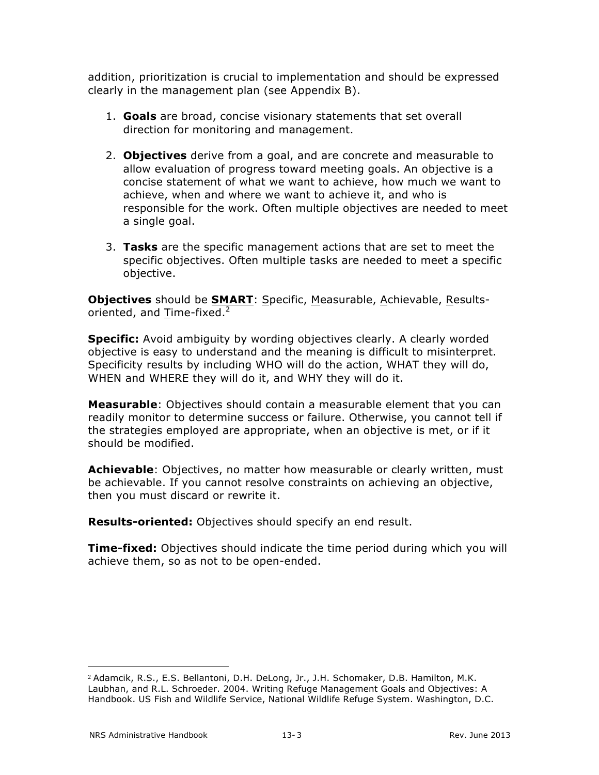addition, prioritization is crucial to implementation and should be expressed clearly in the management plan (see Appendix B).

- 1. **Goals** are broad, concise visionary statements that set overall direction for monitoring and management.
- 2. **Objectives** derive from a goal, and are concrete and measurable to allow evaluation of progress toward meeting goals. An objective is a concise statement of what we want to achieve, how much we want to achieve, when and where we want to achieve it, and who is responsible for the work. Often multiple objectives are needed to meet a single goal.
- 3. **Tasks** are the specific management actions that are set to meet the specific objectives. Often multiple tasks are needed to meet a specific objective.

**Objectives** should be **SMART**: Specific, Measurable, Achievable, Resultsoriented, and  $T$ ime-fixed.<sup>2</sup></u>

**Specific:** Avoid ambiguity by wording objectives clearly. A clearly worded objective is easy to understand and the meaning is difficult to misinterpret. Specificity results by including WHO will do the action, WHAT they will do, WHEN and WHERE they will do it, and WHY they will do it.

**Measurable**: Objectives should contain a measurable element that you can readily monitor to determine success or failure. Otherwise, you cannot tell if the strategies employed are appropriate, when an objective is met, or if it should be modified.

**Achievable**: Objectives, no matter how measurable or clearly written, must be achievable. If you cannot resolve constraints on achieving an objective, then you must discard or rewrite it.

**Results-oriented:** Objectives should specify an end result.

**Time-fixed:** Objectives should indicate the time period during which you will achieve them, so as not to be open-ended.

 <sup>2</sup> Adamcik, R.S., E.S. Bellantoni, D.H. DeLong, Jr., J.H. Schomaker, D.B. Hamilton, M.K. Laubhan, and R.L. Schroeder. 2004. Writing Refuge Management Goals and Objectives: A Handbook. US Fish and Wildlife Service, National Wildlife Refuge System. Washington, D.C.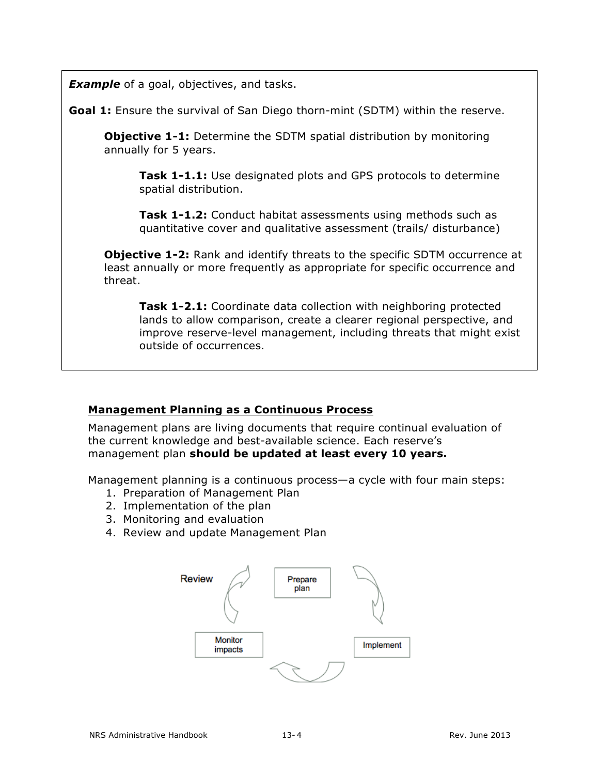**Example** of a goal, objectives, and tasks.

**Goal 1:** Ensure the survival of San Diego thorn-mint (SDTM) within the reserve.

**Objective 1-1:** Determine the SDTM spatial distribution by monitoring annually for 5 years.

**Task 1-1.1:** Use designated plots and GPS protocols to determine spatial distribution.

**Task 1-1.2:** Conduct habitat assessments using methods such as quantitative cover and qualitative assessment (trails/ disturbance)

**Objective 1-2:** Rank and identify threats to the specific SDTM occurrence at least annually or more frequently as appropriate for specific occurrence and threat.

**Task 1-2.1:** Coordinate data collection with neighboring protected lands to allow comparison, create a clearer regional perspective, and improve reserve-level management, including threats that might exist outside of occurrences.

# **Management Planning as a Continuous Process**

Management plans are living documents that require continual evaluation of the current knowledge and best-available science. Each reserve's management plan **should be updated at least every 10 years.**

Management planning is a continuous process—a cycle with four main steps:

- 1. Preparation of Management Plan
- 2. Implementation of the plan
- 3. Monitoring and evaluation
- 4. Review and update Management Plan